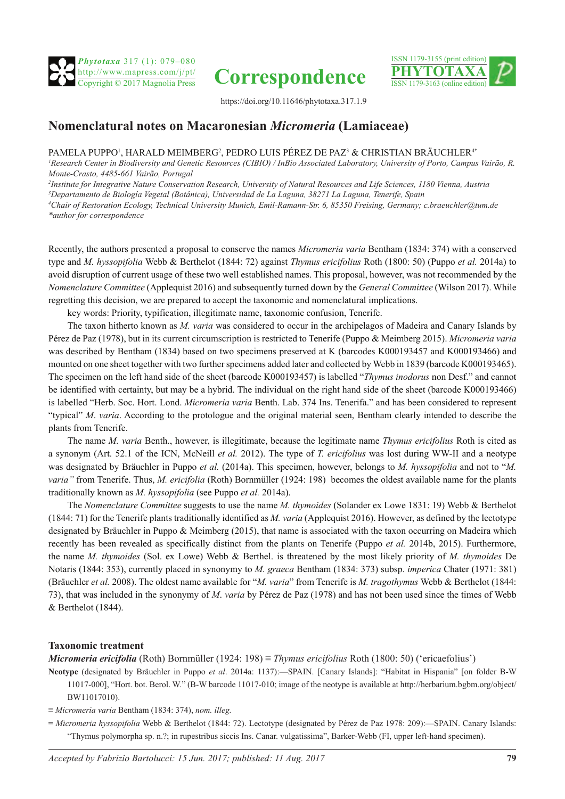





https://doi.org/10.11646/phytotaxa.317.1.9

# **Nomenclatural notes on Macaronesian** *Micromeria* **(Lamiaceae)**

## PAMELA PUPPO', HARALD MEIMBERG<sup>2</sup>, PEDRO LUIS PÉREZ DE PAZ<sup>3</sup> & CHRISTIAN BRÃUCHLER<sup>4</sup>\*

*1 Research Center in Biodiversity and Genetic Resources (CIBIO) / InBio Associated Laboratory, University of Porto, Campus Vairão, R. Monte-Crasto, 4485-661 Vairão, Portugal*

 *Institute for Integrative Nature Conservation Research, University of Natural Resources and Life Sciences, 1180 Vienna, Austria Departamento de Biología Vegetal (Botánica), Universidad de La Laguna, 38271 La Laguna, Tenerife, Spain Chair of Restoration Ecology, Technical University Munich, Emil-Ramann-Str. 6, 85350 Freising, Germany; c.braeuchler@tum.de \*author for correspondence*

Recently, the authors presented a proposal to conserve the names *Micromeria varia* Bentham (1834: 374) with a conserved type and *M. hyssopifolia* Webb & Berthelot (1844: 72) against *Thymus ericifolius* Roth (1800: 50) (Puppo *et al.* 2014a) to avoid disruption of current usage of these two well established names. This proposal, however, was not recommended by the *Nomenclature Committee* (Applequist 2016) and subsequently turned down by the *General Committee* (Wilson 2017). While regretting this decision, we are prepared to accept the taxonomic and nomenclatural implications.

key words: Priority, typification, illegitimate name, taxonomic confusion, Tenerife.

The taxon hitherto known as *M. varia* was considered to occur in the archipelagos of Madeira and Canary Islands by Pérez de Paz (1978), but in its current circumscription is restricted to Tenerife (Puppo & Meimberg 2015). *Micromeria varia* was described by Bentham (1834) based on two specimens preserved at K (barcodes K000193457 and K000193466) and mounted on one sheet together with two further specimens added later and collected by Webb in 1839 (barcode K000193465). The specimen on the left hand side of the sheet (barcode K000193457) is labelled "*Thymus inodorus* non Desf." and cannot be identified with certainty, but may be a hybrid. The individual on the right hand side of the sheet (barcode K000193466) is labelled "Herb. Soc. Hort. Lond. *Micromeria varia* Benth. Lab. 374 Ins. Tenerifa." and has been considered to represent "typical" *M*. *varia*. According to the protologue and the original material seen, Bentham clearly intended to describe the plants from Tenerife.

The name *M. varia* Benth., however, is illegitimate, because the legitimate name *Thymus ericifolius* Roth is cited as a synonym (Art. 52.1 of the ICN, McNeill *et al.* 2012). The type of *T. ericifolius* was lost during WW-II and a neotype was designated by Bräuchler in Puppo *et al.* (2014a). This specimen, however, belongs to *M. hyssopifolia* and not to "*M. varia"* from Tenerife. Thus, *M. ericifolia* (Roth) Bornmüller (1924: 198) becomes the oldest available name for the plants traditionally known as *M. hyssopifolia* (see Puppo *et al.* 2014a).

The *Nomenclature Committee* suggests to use the name *M. thymoides* (Solander ex Lowe 1831: 19) Webb & Berthelot (1844: 71) for the Tenerife plants traditionally identified as *M. varia* (Applequist 2016). However, as defined by the lectotype designated by Bräuchler in Puppo & Meimberg (2015), that name is associated with the taxon occurring on Madeira which recently has been revealed as specifically distinct from the plants on Tenerife (Puppo *et al.* 2014b, 2015). Furthermore, the name *M. thymoides* (Sol. ex Lowe) Webb & Berthel. is threatened by the most likely priority of *M. thymoides* De Notaris (1844: 353), currently placed in synonymy to *M. graeca* Bentham (1834: 373) subsp. *imperica* Chater (1971: 381) (Bräuchler *et al.* 2008). The oldest name available for "*M. varia*" from Tenerife is *M. tragothymus* Webb & Berthelot (1844: 73), that was included in the synonymy of *M*. *varia* by Pérez de Paz (1978) and has not been used since the times of Webb & Berthelot (1844).

## **Taxonomic treatment**

*Micromeria ericifolia* (Roth) Bornmüller (1924: 198) ≡ *Thymus ericifolius* Roth (1800: 50) ('ericaefolius')

- **Neotype** (designated by Bräuchler in Puppo *et al*. 2014a: 1137):—SPAIN. [Canary Islands]: "Habitat in Hispania" [on folder B-W 11017-000], "Hort. bot. Berol. W." (B-W barcode 11017-010; image of the neotype is available at http://herbarium.bgbm.org/object/ BW11017010).
- ≡ *Micromeria varia* Bentham (1834: 374), *nom. illeg.*
- = *Micromeria hyssopifolia* Webb & Berthelot (1844: 72). Lectotype (designated by Pérez de Paz 1978: 209):—SPAIN. Canary Islands: "Thymus polymorpha sp. n.?; in rupestribus siccis Ins. Canar. vulgatissima", Barker-Webb (FI, upper left-hand specimen).